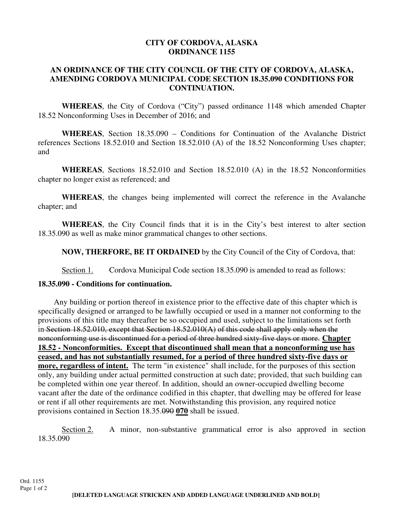## **CITY OF CORDOVA, ALASKA ORDINANCE 1155**

## **AN ORDINANCE OF THE CITY COUNCIL OF THE CITY OF CORDOVA, ALASKA, AMENDING CORDOVA MUNICIPAL CODE SECTION 18.35.090 CONDITIONS FOR CONTINUATION.**

**WHEREAS**, the City of Cordova ("City") passed ordinance 1148 which amended Chapter 18.52 Nonconforming Uses in December of 2016; and

**WHEREAS**, Section 18.35.090 – Conditions for Continuation of the Avalanche District references Sections 18.52.010 and Section 18.52.010 (A) of the 18.52 Nonconforming Uses chapter; and

**WHEREAS**, Sections 18.52.010 and Section 18.52.010 (A) in the 18.52 Nonconformities chapter no longer exist as referenced; and

**WHEREAS**, the changes being implemented will correct the reference in the Avalanche chapter; and

**WHEREAS**, the City Council finds that it is in the City's best interest to alter section 18.35.090 as well as make minor grammatical changes to other sections.

 **NOW, THERFORE, BE IT ORDAINED** by the City Council of the City of Cordova, that:

Section 1. Cordova Municipal Code section 18.35.090 is amended to read as follows:

## **18.35.090 - Conditions for continuation.**

Any building or portion thereof in existence prior to the effective date of this chapter which is specifically designed or arranged to be lawfully occupied or used in a manner not conforming to the provisions of this title may thereafter be so occupied and used, subject to the limitations set forth in Section 18.52.010, except that Section 18.52.010(A) of this code shall apply only when the nonconforming use is discontinued for a period of three hundred sixty-five days or more. **Chapter 18.52 - Nonconformities. Except that discontinued shall mean that a nonconforming use has ceased, and has not substantially resumed, for a period of three hundred sixty-five days or more, regardless of intent.** The term "in existence" shall include, for the purposes of this section only, any building under actual permitted construction at such date; provided, that such building can be completed within one year thereof. In addition, should an owner-occupied dwelling become vacant after the date of the ordinance codified in this chapter, that dwelling may be offered for lease or rent if all other requirements are met. Notwithstanding this provision, any required notice provisions contained in Section 18.35.090 **070** shall be issued.

Section 2. A minor, non-substantive grammatical error is also approved in section 18.35.090